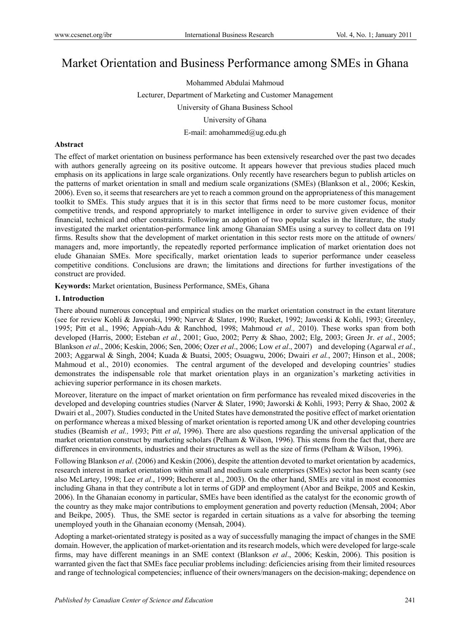# Market Orientation and Business Performance among SMEs in Ghana

Mohammed Abdulai Mahmoud Lecturer, Department of Marketing and Customer Management University of Ghana Business School University of Ghana

E-mail: amohammed@ug.edu.gh

# **Abstract**

The effect of market orientation on business performance has been extensively researched over the past two decades with authors generally agreeing on its positive outcome. It appears however that previous studies placed much emphasis on its applications in large scale organizations. Only recently have researchers begun to publish articles on the patterns of market orientation in small and medium scale organizations (SMEs) (Blankson et al., 2006; Keskin, 2006). Even so, it seems that researchers are yet to reach a common ground on the appropriateness of this management toolkit to SMEs. This study argues that it is in this sector that firms need to be more customer focus, monitor competitive trends, and respond appropriately to market intelligence in order to survive given evidence of their financial, technical and other constraints. Following an adoption of two popular scales in the literature, the study investigated the market orientation-performance link among Ghanaian SMEs using a survey to collect data on 191 firms. Results show that the development of market orientation in this sector rests more on the attitude of owners/ managers and, more importantly, the repeatedly reported performance implication of market orientation does not elude Ghanaian SMEs. More specifically, market orientation leads to superior performance under ceaseless competitive conditions. Conclusions are drawn; the limitations and directions for further investigations of the construct are provided.

**Keywords:** Market orientation, Business Performance, SMEs, Ghana

# **1. Introduction**

There abound numerous conceptual and empirical studies on the market orientation construct in the extant literature (see for review Kohli & Jaworski, 1990; Narver & Slater, 1990; Rueket, 1992; Jaworski & Kohli, 1993; Greenley, 1995; Pitt et al., 1996; Appiah-Adu & Ranchhod, 1998; Mahmoud *et al.,* 2010). These works span from both developed (Harris, 2000; Esteban *et al.*, 2001; Guo, 2002; Perry & Shao, 2002; Elg, 2003; Green Jr. *et al.*, 2005; Blankson *et al*., 2006; Keskin, 2006; Sen, 2006; Ozer *et al*., 2006; Low *et al*., 2007) and developing (Agarwal *et al.*, 2003; Aggarwal & Singh, 2004; Kuada & Buatsi, 2005; Osuagwu, 2006; Dwairi *et al.*, 2007; Hinson et al., 2008; Mahmoud et al., 2010) economies. The central argument of the developed and developing countries' studies demonstrates the indispensable role that market orientation plays in an organization's marketing activities in achieving superior performance in its chosen markets.

Moreover, literature on the impact of market orientation on firm performance has revealed mixed discoveries in the developed and developing countries studies (Narver & Slater, 1990; Jaworski & Kohli, 1993; Perry & Shao, 2002 & Dwairi et al., 2007). Studies conducted in the United States have demonstrated the positive effect of market orientation on performance whereas a mixed blessing of market orientation is reported among UK and other developing countries studies (Beamish *et al.,* 1993; Pitt *et al*, 1996). There are also questions regarding the universal application of the market orientation construct by marketing scholars (Pelham & Wilson, 1996). This stems from the fact that, there are differences in environments, industries and their structures as well as the size of firms (Pelham & Wilson, 1996).

Following Blankson *et al*. (2006) and Keskin (2006), despite the attention devoted to market orientation by academics, research interest in market orientation within small and medium scale enterprises (SMEs) sector has been scanty (see also McLartey, 1998; Lee *et al*., 1999; Becherer et al., 2003). On the other hand, SMEs are vital in most economies including Ghana in that they contribute a lot in terms of GDP and employment (Abor and Beikpe, 2005 and Keskin, 2006). In the Ghanaian economy in particular, SMEs have been identified as the catalyst for the economic growth of the country as they make major contributions to employment generation and poverty reduction (Mensah, 2004; Abor and Beikpe, 2005). Thus, the SME sector is regarded in certain situations as a valve for absorbing the teeming unemployed youth in the Ghanaian economy (Mensah, 2004).

Adopting a market-orientated strategy is posited as a way of successfully managing the impact of changes in the SME domain. However, the application of market-orientation and its research models, which were developed for large-scale firms, may have different meanings in an SME context (Blankson *et al*., 2006; Keskin, 2006). This position is warranted given the fact that SMEs face peculiar problems including: deficiencies arising from their limited resources and range of technological competencies; influence of their owners/managers on the decision-making; dependence on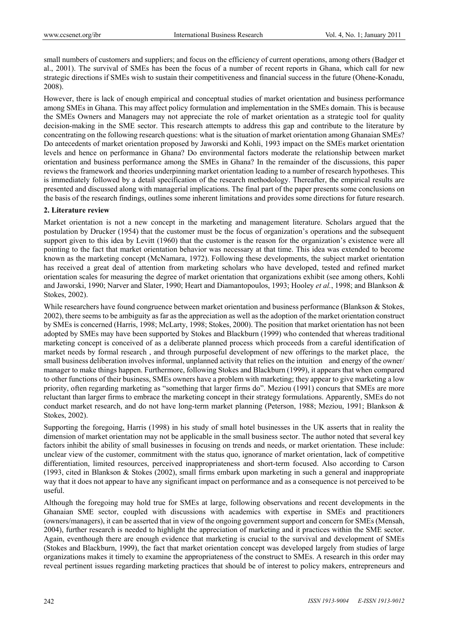small numbers of customers and suppliers; and focus on the efficiency of current operations, among others (Badger et al., 2001). The survival of SMEs has been the focus of a number of recent reports in Ghana, which call for new strategic directions if SMEs wish to sustain their competitiveness and financial success in the future (Ohene-Konadu, 2008).

However, there is lack of enough empirical and conceptual studies of market orientation and business performance among SMEs in Ghana. This may affect policy formulation and implementation in the SMEs domain. This is because the SMEs Owners and Managers may not appreciate the role of market orientation as a strategic tool for quality decision-making in the SME sector. This research attempts to address this gap and contribute to the literature by concentrating on the following research questions: what is the situation of market orientation among Ghanaian SMEs? Do antecedents of market orientation proposed by Jaworski and Kohli, 1993 impact on the SMEs market orientation levels and hence on performance in Ghana? Do environmental factors moderate the relationship between market orientation and business performance among the SMEs in Ghana? In the remainder of the discussions, this paper reviews the framework and theories underpinning market orientation leading to a number of research hypotheses. This is immediately followed by a detail specification of the research methodology. Thereafter, the empirical results are presented and discussed along with managerial implications. The final part of the paper presents some conclusions on the basis of the research findings, outlines some inherent limitations and provides some directions for future research.

### **2. Literature review**

Market orientation is not a new concept in the marketing and management literature. Scholars argued that the postulation by Drucker (1954) that the customer must be the focus of organization's operations and the subsequent support given to this idea by Levitt (1960) that the customer is the reason for the organization's existence were all pointing to the fact that market orientation behavior was necessary at that time. This idea was extended to become known as the marketing concept (McNamara, 1972). Following these developments, the subject market orientation has received a great deal of attention from marketing scholars who have developed, tested and refined market orientation scales for measuring the degree of market orientation that organizations exhibit (see among others, Kohli and Jaworski, 1990; Narver and Slater, 1990; Heart and Diamantopoulos, 1993; Hooley *et al.*, 1998; and Blankson & Stokes, 2002).

While researchers have found congruence between market orientation and business performance (Blankson & Stokes, 2002), there seems to be ambiguity as far as the appreciation as well as the adoption of the market orientation construct by SMEs is concerned (Harris, 1998; McLarty, 1998; Stokes, 2000). The position that market orientation has not been adopted by SMEs may have been supported by Stokes and Blackburn (1999) who contended that whereas traditional marketing concept is conceived of as a deliberate planned process which proceeds from a careful identification of market needs by formal research , and through purposeful development of new offerings to the market place, the small business deliberation involves informal, unplanned activity that relies on the intuition and energy of the owner/ manager to make things happen. Furthermore, following Stokes and Blackburn (1999), it appears that when compared to other functions of their business, SMEs owners have a problem with marketing; they appear to give marketing a low priority, often regarding marketing as "something that larger firms do". Meziou (1991) concurs that SMEs are more reluctant than larger firms to embrace the marketing concept in their strategy formulations. Apparently, SMEs do not conduct market research, and do not have long-term market planning (Peterson, 1988; Meziou, 1991; Blankson & Stokes, 2002).

Supporting the foregoing, Harris (1998) in his study of small hotel businesses in the UK asserts that in reality the dimension of market orientation may not be applicable in the small business sector. The author noted that several key factors inhibit the ability of small businesses in focusing on trends and needs, or market orientation. These include: unclear view of the customer, commitment with the status quo, ignorance of market orientation, lack of competitive differentiation, limited resources, perceived inappropriateness and short-term focused. Also according to Carson (1993, cited in Blankson & Stokes (2002), small firms embark upon marketing in such a general and inappropriate way that it does not appear to have any significant impact on performance and as a consequence is not perceived to be useful.

Although the foregoing may hold true for SMEs at large, following observations and recent developments in the Ghanaian SME sector, coupled with discussions with academics with expertise in SMEs and practitioners (owners/managers), it can be asserted that in view of the ongoing government support and concern for SMEs (Mensah, 2004), further research is needed to highlight the appreciation of marketing and it practices within the SME sector. Again, eventhough there are enough evidence that marketing is crucial to the survival and development of SMEs (Stokes and Blackburn, 1999), the fact that market orientation concept was developed largely from studies of large organizations makes it timely to examine the appropriateness of the construct to SMEs. A research in this order may reveal pertinent issues regarding marketing practices that should be of interest to policy makers, entrepreneurs and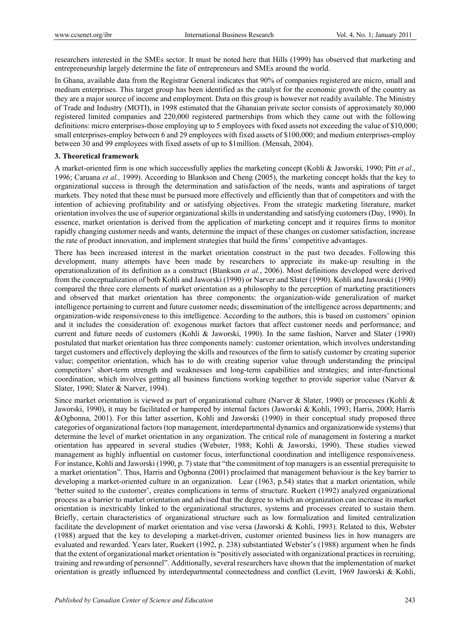researchers interested in the SMEs sector. It must be noted here that Hills (1999) has observed that marketing and entrepreneurship largely determine the fate of entrepreneurs and SMEs around the world.

In Ghana, available data from the Registrar General indicates that 90% of companies registered are micro, small and medium enterprises. This target group has been identified as the catalyst for the economic growth of the country as they are a major source of income and employment. Data on this group is however not readily available. The Ministry of Trade and Industry (MOTI), in 1998 estimated that the Ghanaian private sector consists of approximately 80,000 registered limited companies and 220,000 registered partnerships from which they came out with the following definitions: micro enterprises-those employing up to 5 employees with fixed assets not exceeding the value of \$10,000; small enterprises-employ between 6 and 29 employees with fixed assets of \$100,000; and medium enterprises-employ between 30 and 99 employees with fixed assets of up to \$1million. (Mensah, 2004).

# **3. Theoretical framework**

A market-oriented firm is one which successfully applies the marketing concept (Kohli & Jaworski, 1990; Pitt *et al*., 1996; Caruana *et al.,* 1999). According to Blankson and Cheng (2005), the marketing concept holds that the key to organizational success is through the determination and satisfaction of the needs, wants and aspirations of target markets. They noted that these must be pursued more effectively and efficiently than that of competitors and with the intention of achieving profitability and or satisfying objectives. From the strategic marketing literature, market orientation involves the use of superior organizational skills in understanding and satisfying customers (Day, 1990). In essence, market orientation is derived from the application of marketing concept and it requires firms to monitor rapidly changing customer needs and wants, determine the impact of these changes on customer satisfaction, increase the rate of product innovation, and implement strategies that build the firms' competitive advantages.

There has been increased interest in the market orientation construct in the past two decades. Following this development, many attempts have been made by researchers to appreciate its make-up resulting in the operationalization of its definition as a construct (Blankson *et al.*, 2006). Most definitions developed were derived from the conceptualization of both Kohli and Jaworski (1990) or Narver and Slater (1990). Kohli and Jaworski (1990) compared the three core elements of market orientation as a philosophy to the perception of marketing practitioners and observed that market orientation has three components: the organization-wide generalization of market intelligence pertaining to current and future customer needs; dissemination of the intelligence across departments; and organization-wide responsiveness to this intelligence. According to the authors, this is based on customers' opinion and it includes the consideration of: exogenous market factors that affect customer needs and performance; and current and future needs of customers (Kohli & Jaworski, 1990). In the same fashion, Narver and Slater (1990) postulated that market orientation has three components namely: customer orientation, which involves understanding target customers and effectively deploying the skills and resources of the firm to satisfy customer by creating superior value; competitor orientation, which has to do with creating superior value through understanding the principal competitors' short-term strength and weaknesses and long-term capabilities and strategies; and inter-functional coordination, which involves getting all business functions working together to provide superior value (Narver  $\&$ Slater, 1990; Slater & Narver, 1994).

Since market orientation is viewed as part of organizational culture (Narver & Slater, 1990) or processes (Kohli & Jaworski, 1990), it may be facilitated or hampered by internal factors (Jaworski & Kohli, 1993; Harris, 2000; Harris &Ogbonna, 2001). For this latter assertion, Kohli and Jaworski (1990) in their conceptual study proposed three categories of organizational factors (top management, interdepartmental dynamics and organizationwide systems) that determine the level of market orientation in any organization. The critical role of management in fostering a market orientation has appeared in several studies (Webster, 1988; Kohli & Jaworski, 1990). These studies viewed management as highly influential on customer focus, interfunctional coordination and intelligence responsiveness. For instance, Kohli and Jaworski (1990, p. 7) state that "the commitment of top managers is an essential prerequisite to a market orientation". Thus, Harris and Ogbonna (2001) proclaimed that management behaviour is the key barrier to developing a market-oriented culture in an organization. Lear (1963, p.54) states that a market orientation, while 'better suited to the customer', creates complications in terms of structure. Ruekert (1992) analyzed organizational process as a barrier to market orientation and advised that the degree to which an organization can increase its market orientation is inextricably linked to the organizational structures, systems and processes created to sustain them. Briefly, certain characteristics of organizational structure such as low formalization and limited centralization facilitate the development of market orientation and vise versa (Jaworski & Kohli, 1993). Related to this, Webster (1988) argued that the key to developing a market-driven, customer oriented business lies in how managers are evaluated and rewarded. Years later, Ruekert (1992, p. 238) substantiated Webster's (1988) argument when he finds that the extent of organizational market orientation is "positively associated with organizational practices in recruiting, training and rewarding of personnel". Additionally, several researchers have shown that the implementation of market orientation is greatly influenced by interdepartmental connectedness and conflict (Levitt, 1969 Jaworski & Kohli,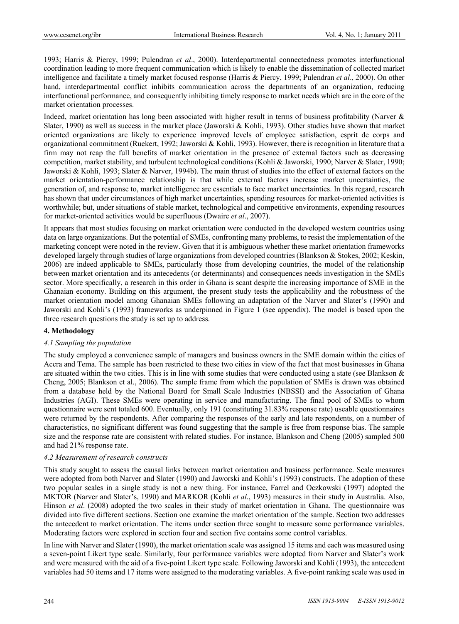1993; Harris & Piercy, 1999; Pulendran *et al*., 2000). Interdepartmental connectedness promotes interfunctional coordination leading to more frequent communication which is likely to enable the dissemination of collected market intelligence and facilitate a timely market focused response (Harris & Piercy, 1999; Pulendran *et al*., 2000). On other hand, interdepartmental conflict inhibits communication across the departments of an organization, reducing interfunctional performance, and consequently inhibiting timely response to market needs which are in the core of the market orientation processes.

Indeed, market orientation has long been associated with higher result in terms of business profitability (Narver & Slater, 1990) as well as success in the market place (Jaworski & Kohli, 1993). Other studies have shown that market oriented organizations are likely to experience improved levels of employee satisfaction, esprit de corps and organizational commitment (Ruekert, 1992; Jaworski & Kohli, 1993). However, there is recognition in literature that a firm may not reap the full benefits of market orientation in the presence of external factors such as decreasing competition, market stability, and turbulent technological conditions (Kohli & Jaworski, 1990; Narver & Slater, 1990; Jaworski & Kohli, 1993; Slater & Narver, 1994b). The main thrust of studies into the effect of external factors on the market orientation-performance relationship is that while external factors increase market uncertainties, the generation of, and response to, market intelligence are essentials to face market uncertainties. In this regard, research has shown that under circumstances of high market uncertainties, spending resources for market-oriented activities is worthwhile; but, under situations of stable market, technological and competitive environments, expending resources for market-oriented activities would be superfluous (Dwaire *et al*., 2007).

It appears that most studies focusing on market orientation were conducted in the developed western countries using data on large organizations. But the potential of SMEs, confronting many problems, to resist the implementation of the marketing concept were noted in the review. Given that it is ambiguous whether these market orientation frameworks developed largely through studies of large organizations from developed countries (Blankson & Stokes, 2002; Keskin, 2006) are indeed applicable to SMEs, particularly those from developing countries, the model of the relationship between market orientation and its antecedents (or determinants) and consequences needs investigation in the SMEs sector. More specifically, a research in this order in Ghana is scant despite the increasing importance of SME in the Ghanaian economy. Building on this argument, the present study tests the applicability and the robustness of the market orientation model among Ghanaian SMEs following an adaptation of the Narver and Slater's (1990) and Jaworski and Kohli's (1993) frameworks as underpinned in Figure 1 (see appendix). The model is based upon the three research questions the study is set up to address.

# **4. Methodology**

#### *4.1 Sampling the population*

The study employed a convenience sample of managers and business owners in the SME domain within the cities of Accra and Tema. The sample has been restricted to these two cities in view of the fact that most businesses in Ghana are situated within the two cities. This is in line with some studies that were conducted using a state (see Blankson  $\&$ Cheng, 2005; Blankson et al., 2006). The sample frame from which the population of SMEs is drawn was obtained from a database held by the National Board for Small Scale Industries (NBSSI) and the Association of Ghana Industries (AGI). These SMEs were operating in service and manufacturing. The final pool of SMEs to whom questionnaire were sent totaled 600. Eventually, only 191 (constituting 31.83% response rate) useable questionnaires were returned by the respondents. After comparing the responses of the early and late respondents, on a number of characteristics, no significant different was found suggesting that the sample is free from response bias. The sample size and the response rate are consistent with related studies. For instance, Blankson and Cheng (2005) sampled 500 and had 21% response rate.

### *4.2 Measurement of research constructs*

This study sought to assess the causal links between market orientation and business performance. Scale measures were adopted from both Narver and Slater (1990) and Jaworski and Kohli's (1993) constructs. The adoption of these two popular scales in a single study is not a new thing. For instance, Farrel and Oczkowski (1997) adopted the MKTOR (Narver and Slater's, 1990) and MARKOR (Kohli *et al*., 1993) measures in their study in Australia. Also, Hinson *et al*. (2008) adopted the two scales in their study of market orientation in Ghana. The questionnaire was divided into five different sections. Section one examine the market orientation of the sample. Section two addresses the antecedent to market orientation. The items under section three sought to measure some performance variables. Moderating factors were explored in section four and section five contains some control variables.

In line with Narver and Slater (1990), the market orientation scale was assigned 15 items and each was measured using a seven-point Likert type scale. Similarly, four performance variables were adopted from Narver and Slater's work and were measured with the aid of a five-point Likert type scale. Following Jaworski and Kohli (1993), the antecedent variables had 50 items and 17 items were assigned to the moderating variables. A five-point ranking scale was used in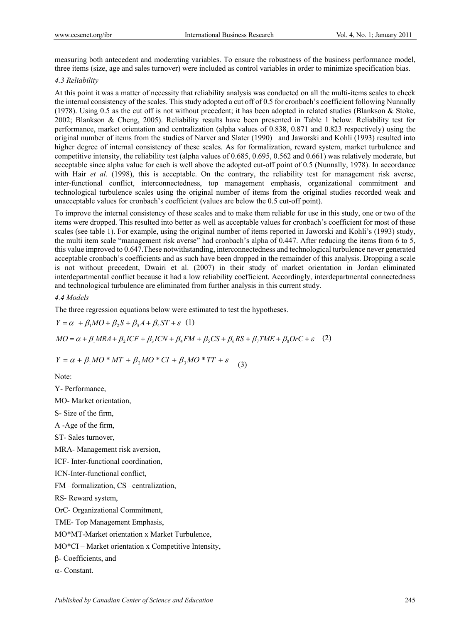measuring both antecedent and moderating variables. To ensure the robustness of the business performance model, three items (size, age and sales turnover) were included as control variables in order to minimize specification bias.

# *4.3 Reliability*

At this point it was a matter of necessity that reliability analysis was conducted on all the multi-items scales to check the internal consistency of the scales. This study adopted a cut off of 0.5 for cronbach's coefficient following Nunnally (1978). Using 0.5 as the cut off is not without precedent; it has been adopted in related studies (Blankson & Stoke, 2002; Blankson & Cheng, 2005). Reliability results have been presented in Table 1 below. Reliability test for performance, market orientation and centralization (alpha values of 0.838, 0.871 and 0.823 respectively) using the original number of items from the studies of Narver and Slater (1990) and Jaworski and Kohli (1993) resulted into higher degree of internal consistency of these scales. As for formalization, reward system, market turbulence and competitive intensity, the reliability test (alpha values of 0.685, 0.695, 0.562 and 0.661) was relatively moderate, but acceptable since alpha value for each is well above the adopted cut-off point of 0.5 (Nunnally, 1978). In accordance with Hair *et al.* (1998), this is acceptable. On the contrary, the reliability test for management risk averse, inter-functional conflict, interconnectedness, top management emphasis, organizational commitment and technological turbulence scales using the original number of items from the original studies recorded weak and unacceptable values for cronbach's coefficient (values are below the 0.5 cut-off point).

To improve the internal consistency of these scales and to make them reliable for use in this study, one or two of the items were dropped. This resulted into better as well as acceptable values for cronbach's coefficient for most of these scales (see table 1). For example, using the original number of items reported in Jaworski and Kohli's (1993) study, the multi item scale "management risk averse" had cronbach's alpha of 0.447. After reducing the items from 6 to 5, this value improved to 0.647.These notwithstanding, interconnectedness and technological turbulence never generated acceptable cronbach's coefficients and as such have been dropped in the remainder of this analysis. Dropping a scale is not without precedent, Dwairi et al. (2007) in their study of market orientation in Jordan eliminated interdepartmental conflict because it had a low reliability coefficient. Accordingly, interdepartmental connectedness and technological turbulence are eliminated from further analysis in this current study.

# *4.4 Models*

The three regression equations below were estimated to test the hypotheses.

 $Y = \alpha + \beta_1 MO + \beta_2 S + \beta_3 A + \beta_4 ST + \varepsilon$  (1)  $MO = \alpha + \beta_1 MRA + \beta_2 ICF + \beta_3 ICN + \beta_4 FM + \beta_5 CS + \beta_6 RS + \beta_7 IMF + \beta_8 OrC + \varepsilon$  (2)

$$
Y = \alpha + \beta_1 MO^* MT + \beta_2 MO^* CI + \beta_3 MO^* TT + \varepsilon \tag{3}
$$

Note:

Y- Performance,

MO- Market orientation,

S- Size of the firm,

A -Age of the firm,

ST- Sales turnover,

MRA- Management risk aversion,

ICF- Inter-functional coordination,

ICN-Inter-functional conflict,

FM –formalization, CS –centralization,

RS- Reward system,

OrC- Organizational Commitment,

TME- Top Management Emphasis,

MO\*MT-Market orientation x Market Turbulence,

MO\*CI – Market orientation x Competitive Intensity,

 $β$ - Coefficients, and

 $\alpha$ - Constant.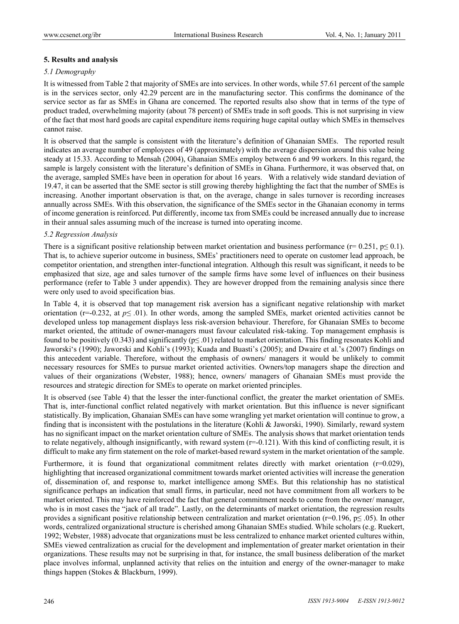# **5. Results and analysis**

## *5.1 Demography*

It is witnessed from Table 2 that majority of SMEs are into services. In other words, while 57.61 percent of the sample is in the services sector, only 42.29 percent are in the manufacturing sector. This confirms the dominance of the service sector as far as SMEs in Ghana are concerned. The reported results also show that in terms of the type of product traded, overwhelming majority (about 78 percent) of SMEs trade in soft goods. This is not surprising in view of the fact that most hard goods are capital expenditure items requiring huge capital outlay which SMEs in themselves cannot raise.

It is observed that the sample is consistent with the literature's definition of Ghanaian SMEs. The reported result indicates an average number of employees of 49 (approximately) with the average dispersion around this value being steady at 15.33. According to Mensah (2004), Ghanaian SMEs employ between 6 and 99 workers. In this regard, the sample is largely consistent with the literature's definition of SMEs in Ghana. Furthermore, it was observed that, on the average, sampled SMEs have been in operation for about 16 years. With a relatively wide standard deviation of 19.47, it can be asserted that the SME sector is still growing thereby highlighting the fact that the number of SMEs is increasing. Another important observation is that, on the average, change in sales turnover is recording increases annually across SMEs. With this observation, the significance of the SMEs sector in the Ghanaian economy in terms of income generation is reinforced. Put differently, income tax from SMEs could be increased annually due to increase in their annual sales assuming much of the increase is turned into operating income.

### *5.2 Regression Analysis*

There is a significant positive relationship between market orientation and business performance ( $r= 0.251$ ,  $p\le 0.1$ ). That is, to achieve superior outcome in business, SMEs' practitioners need to operate on customer lead approach, be competitor orientation, and strengthen inter-functional integration. Although this result was significant, it needs to be emphasized that size, age and sales turnover of the sample firms have some level of influences on their business performance (refer to Table 3 under appendix). They are however dropped from the remaining analysis since there were only used to avoid specification bias.

In Table 4, it is observed that top management risk aversion has a significant negative relationship with market orientation ( $r=-0.232$ , at  $p\leq .01$ ). In other words, among the sampled SMEs, market oriented activities cannot be developed unless top management displays less risk-aversion behaviour. Therefore, for Ghanaian SMEs to become market oriented, the attitude of owner-managers must favour calculated risk-taking. Top management emphasis is found to be positively (0.343) and significantly ( $p \le 0.01$ ) related to market orientation. This finding resonates Kohli and Jaworski's (1990); Jaworski and Kohli's (1993); Kuada and Buasti's (2005); and Dwaire et al.'s (2007) findings on this antecedent variable. Therefore, without the emphasis of owners/ managers it would be unlikely to commit necessary resources for SMEs to pursue market oriented activities. Owners/top managers shape the direction and values of their organizations (Webster, 1988); hence, owners/ managers of Ghanaian SMEs must provide the resources and strategic direction for SMEs to operate on market oriented principles.

It is observed (see Table 4) that the lesser the inter-functional conflict, the greater the market orientation of SMEs. That is, inter-functional conflict related negatively with market orientation. But this influence is never significant statistically. By implication, Ghanaian SMEs can have some wrangling yet market orientation will continue to grow, a finding that is inconsistent with the postulations in the literature (Kohli & Jaworski, 1990). Similarly, reward system has no significant impact on the market orientation culture of SMEs. The analysis shows that market orientation tends to relate negatively, although insignificantly, with reward system  $(r=0.121)$ . With this kind of conflicting result, it is difficult to make any firm statement on the role of market-based reward system in the market orientation of the sample.

Furthermore, it is found that organizational commitment relates directly with market orientation  $(r=0.029)$ , highlighting that increased organizational commitment towards market oriented activities will increase the generation of, dissemination of, and response to, market intelligence among SMEs. But this relationship has no statistical significance perhaps an indication that small firms, in particular, need not have commitment from all workers to be market oriented. This may have reinforced the fact that general commitment needs to come from the owner/ manager, who is in most cases the "jack of all trade". Lastly, on the determinants of market orientation, the regression results provides a significant positive relationship between centralization and market orientation ( $r=0.196$ ,  $p\leq .05$ ). In other words, centralized organizational structure is cherished among Ghanaian SMEs studied. While scholars (e.g. Ruekert, 1992; Webster, 1988) advocate that organizations must be less centralized to enhance market oriented cultures within, SMEs viewed centralization as crucial for the development and implementation of greater market orientation in their organizations. These results may not be surprising in that, for instance, the small business deliberation of the market place involves informal, unplanned activity that relies on the intuition and energy of the owner-manager to make things happen (Stokes & Blackburn, 1999).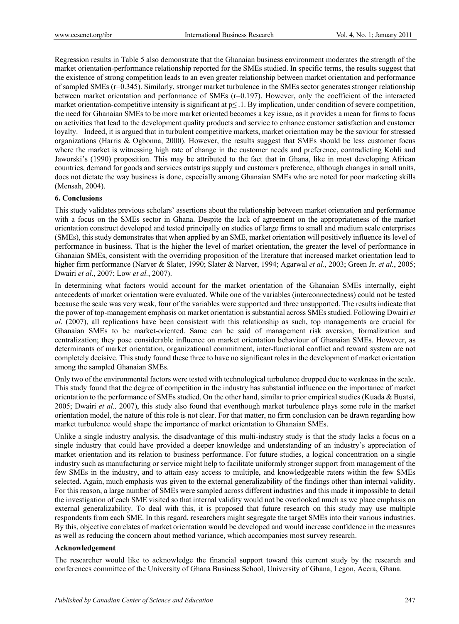Regression results in Table 5 also demonstrate that the Ghanaian business environment moderates the strength of the market orientation-performance relationship reported for the SMEs studied. In specific terms, the results suggest that the existence of strong competition leads to an even greater relationship between market orientation and performance of sampled SMEs (r=0.345). Similarly, stronger market turbulence in the SMEs sector generates stronger relationship between market orientation and performance of SMEs  $(r=0.197)$ . However, only the coefficient of the interacted market orientation-competitive intensity is significant at p≤ .1. By implication, under condition of severe competition, the need for Ghanaian SMEs to be more market oriented becomes a key issue, as it provides a mean for firms to focus on activities that lead to the development quality products and service to enhance customer satisfaction and customer loyalty. Indeed, it is argued that in turbulent competitive markets, market orientation may be the saviour for stressed organizations (Harris & Ogbonna, 2000). However, the results suggest that SMEs should be less customer focus where the market is witnessing high rate of change in the customer needs and preference, contradicting Kohli and Jaworski's (1990) proposition. This may be attributed to the fact that in Ghana, like in most developing African countries, demand for goods and services outstrips supply and customers preference, although changes in small units, does not dictate the way business is done, especially among Ghanaian SMEs who are noted for poor marketing skills (Mensah, 2004).

### **6. Conclusions**

This study validates previous scholars' assertions about the relationship between market orientation and performance with a focus on the SMEs sector in Ghana. Despite the lack of agreement on the appropriateness of the market orientation construct developed and tested principally on studies of large firms to small and medium scale enterprises (SMEs), this study demonstrates that when applied by an SME, market orientation will positively influence its level of performance in business. That is the higher the level of market orientation, the greater the level of performance in Ghanaian SMEs, consistent with the overriding proposition of the literature that increased market orientation lead to higher firm performance (Narver & Slater, 1990; Slater & Narver, 1994; Agarwal *et al*., 2003; Green Jr. *et al.*, 2005; Dwairi *et al*., 2007; Low *et al.*, 2007).

In determining what factors would account for the market orientation of the Ghanaian SMEs internally, eight antecedents of market orientation were evaluated. While one of the variables (interconnectedness) could not be tested because the scale was very weak, four of the variables were supported and three unsupported. The results indicate that the power of top-management emphasis on market orientation is substantial across SMEs studied. Following Dwairi *et al*. (2007), all replications have been consistent with this relationship as such, top managements are crucial for Ghanaian SMEs to be market-oriented. Same can be said of management risk aversion, formalization and centralization; they pose considerable influence on market orientation behaviour of Ghanaian SMEs. However, as determinants of market orientation, organizational commitment, inter-functional conflict and reward system are not completely decisive. This study found these three to have no significant roles in the development of market orientation among the sampled Ghanaian SMEs.

Only two of the environmental factors were tested with technological turbulence dropped due to weakness in the scale. This study found that the degree of competition in the industry has substantial influence on the importance of market orientation to the performance of SMEs studied. On the other hand, similar to prior empirical studies (Kuada & Buatsi, 2005; Dwairi *et al.,* 2007), this study also found that eventhough market turbulence plays some role in the market orientation model, the nature of this role is not clear. For that matter, no firm conclusion can be drawn regarding how market turbulence would shape the importance of market orientation to Ghanaian SMEs.

Unlike a single industry analysis, the disadvantage of this multi-industry study is that the study lacks a focus on a single industry that could have provided a deeper knowledge and understanding of an industry's appreciation of market orientation and its relation to business performance. For future studies, a logical concentration on a single industry such as manufacturing or service might help to facilitate uniformly stronger support from management of the few SMEs in the industry, and to attain easy access to multiple, and knowledgeable raters within the few SMEs selected. Again, much emphasis was given to the external generalizability of the findings other than internal validity. For this reason, a large number of SMEs were sampled across different industries and this made it impossible to detail the investigation of each SME visited so that internal validity would not be overlooked much as we place emphasis on external generalizability. To deal with this, it is proposed that future research on this study may use multiple respondents from each SME. In this regard, researchers might segregate the target SMEs into their various industries. By this, objective correlates of market orientation would be developed and would increase confidence in the measures as well as reducing the concern about method variance, which accompanies most survey research.

### **Acknowledgement**

The researcher would like to acknowledge the financial support toward this current study by the research and conferences committee of the University of Ghana Business School, University of Ghana, Legon, Accra, Ghana.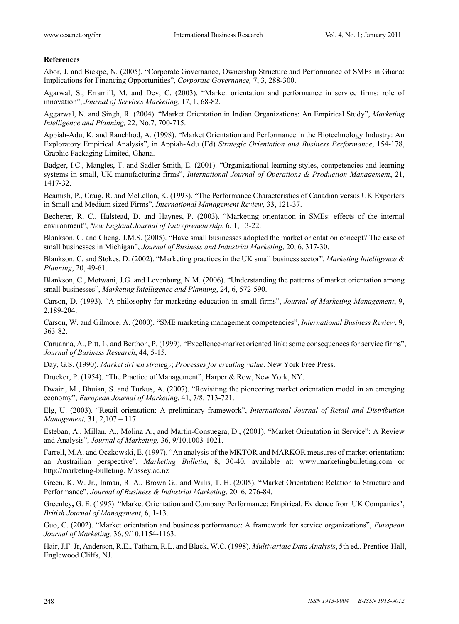### **References**

Abor, J. and Biekpe, N. (2005). "Corporate Governance, Ownership Structure and Performance of SMEs in Ghana: Implications for Financing Opportunities", *Corporate Governance,* 7, 3, 288-300.

Agarwal, S., Erramill, M. and Dev, C. (2003). "Market orientation and performance in service firms: role of innovation", *Journal of Services Marketing,* 17, 1, 68-82.

Aggarwal, N. and Singh, R. (2004). "Market Orientation in Indian Organizations: An Empirical Study", *Marketing Intelligence and Planning,* 22, No.7, 700-715.

Appiah-Adu, K. and Ranchhod, A. (1998). "Market Orientation and Performance in the Biotechnology Industry: An Exploratory Empirical Analysis", in Appiah-Adu (Ed) *Strategic Orientation and Business Performance*, 154-178, Graphic Packaging Limited, Ghana.

Badger, I.C., Mangles, T. and Sadler-Smith, E. (2001). "Organizational learning styles, competencies and learning systems in small, UK manufacturing firms", *International Journal of Operations & Production Management*, 21, 1417-32.

Beamish, P., Craig, R. and McLellan, K. (1993). "The Performance Characteristics of Canadian versus UK Exporters in Small and Medium sized Firms", *International Management Review,* 33, 121-37.

Becherer, R. C., Halstead, D. and Haynes, P. (2003). "Marketing orientation in SMEs: effects of the internal environment", *New England Journal of Entrepreneurship*, 6, 1, 13-22.

Blankson, C. and Cheng, J.M.S. (2005). "Have small businesses adopted the market orientation concept? The case of small businesses in Michigan", *Journal of Business and Industrial Marketing*, 20, 6, 317-30.

Blankson, C. and Stokes, D. (2002). "Marketing practices in the UK small business sector", *Marketing Intelligence & Planning*, 20, 49-61.

Blankson, C., Motwani, J.G. and Levenburg, N.M. (2006). "Understanding the patterns of market orientation among small businesses", *Marketing Intelligence and Planning*, 24, 6, 572-590.

Carson, D. (1993). "A philosophy for marketing education in small firms", *Journal of Marketing Management*, 9, 2,189-204.

Carson, W. and Gilmore, A. (2000). "SME marketing management competencies", *International Business Review*, 9, 363-82.

Caruanna, A., Pitt, L. and Berthon, P. (1999). "Excellence-market oriented link: some consequences for service firms", *Journal of Business Research*, 44, 5-15.

Day, G.S. (1990). *Market driven strategy*; *Processes for creating value*. New York Free Press.

Drucker, P. (1954). "The Practice of Management", Harper & Row, New York, NY.

Dwairi, M., Bhuian, S. and Turkus, A. (2007). "Revisiting the pioneering market orientation model in an emerging economy", *European Journal of Marketing*, 41, 7/8, 713-721.

Elg, U. (2003). "Retail orientation: A preliminary framework", *International Journal of Retail and Distribution Management,* 31, 2,107 – 117.

Esteban, A., Millan, A., Molina A., and Martin-Consuegra, D., (2001). "Market Orientation in Service": A Review and Analysis", *Journal of Marketing,* 36, 9/10,1003-1021.

Farrell, M.A. and Oczkowski, E. (1997). "An analysis of the MKTOR and MARKOR measures of market orientation: an Austrailian perspective", *Marketing Bulletin*, 8, 30-40, available at: www.marketingbulleting.com or http://marketing-bulleting. Massey.ac.nz

Green, K. W. Jr., Inman, R. A., Brown G., and Wilis, T. H. (2005). "Market Orientation: Relation to Structure and Performance", *Journal of Business & Industrial Marketing*, 20. 6, 276-84.

Greenley**,** G. E. (1995). "Market Orientation and Company Performance: Empirical. Evidence from UK Companies", *British Journal of Management*, 6, 1-13.

Guo, C. (2002). "Market orientation and business performance: A framework for service organizations", *European Journal of Marketing,* 36, 9/10,1154-1163.

Hair, J.F. Jr, Anderson, R.E., Tatham, R.L. and Black, W.C. (1998). *Multivariate Data Analysis*, 5th ed., Prentice-Hall, Englewood Cliffs, NJ.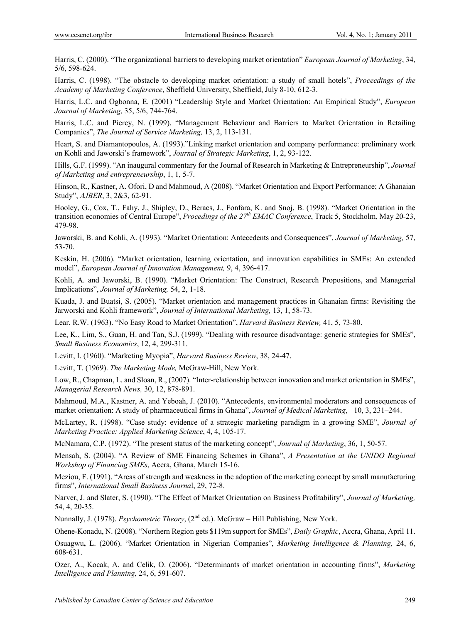Harris, C. (2000). "The organizational barriers to developing market orientation" *European Journal of Marketing*, 34, 5/6, 598-624.

Harris, C. (1998). "The obstacle to developing market orientation: a study of small hotels", *Proceedings of the Academy of Marketing Conference*, Sheffield University, Sheffield, July 8-10, 612-3.

Harris, L.C. and Ogbonna, E. (2001) "Leadership Style and Market Orientation: An Empirical Study", *European Journal of Marketing,* 35, 5/6, 744-764.

Harris, L.C. and Piercy, N. (1999). "Management Behaviour and Barriers to Market Orientation in Retailing Companies", *The Journal of Service Marketing,* 13, 2, 113-131.

Heart, S. and Diamantopoulos, A. (1993)."Linking market orientation and company performance: preliminary work on Kohli and Jaworski's framework", *Journal of Strategic Marketing*, 1, 2, 93-122.

Hills, G.F. (1999). "An inaugural commentary for the Journal of Research in Marketing & Entrepreneurship", *Journal of Marketing and entrepreneurship*, 1, 1, 5-7.

Hinson, R., Kastner, A. Ofori, D and Mahmoud, A (2008). "Market Orientation and Export Performance; A Ghanaian Study", *AJBER*, 3, 2&3, 62-91.

Hooley, G., Cox, T., Fahy, J., Shipley, D., Beracs, J., Fonfara, K. and Snoj, B. (1998). "Market Orientation in the transition economies of Central Europe", *Procedings of the 27th EMAC Conference*, Track 5, Stockholm, May 20-23, 479-98.

Jaworski, B. and Kohli, A. (1993). "Market Orientation: Antecedents and Consequences", *Journal of Marketing,* 57, 53-70.

Keskin, H. (2006). "Market orientation, learning orientation, and innovation capabilities in SMEs: An extended model", *European Journal of Innovation Management,* 9, 4, 396-417.

Kohli, A. and Jaworski, B. (1990). "Market Orientation: The Construct, Research Propositions, and Managerial Implications", *Journal of Marketing,* 54, 2, 1-18.

Kuada, J. and Buatsi, S. (2005). "Market orientation and management practices in Ghanaian firms: Revisiting the Jarworski and Kohli framework", *Journal of International Marketing,* 13, 1, 58-73.

Lear, R.W. (1963). "No Easy Road to Market Orientation", *Harvard Business Review,* 41, 5, 73-80.

Lee, K., Lim, S., Guan, H. and Tan, S.J. (1999). "Dealing with resource disadvantage: generic strategies for SMEs", *Small Business Economics*, 12, 4, 299-311.

Levitt, I. (1960). "Marketing Myopia", *Harvard Business Review*, 38, 24-47.

Levitt, T. (1969). *The Marketing Mode,* McGraw-Hill, New York.

Low, R., Chapman, L. and Sloan, R., (2007). "Inter-relationship between innovation and market orientation in SMEs", *Managerial Research News,* 30, 12, 878-891.

Mahmoud, M.A., Kastner, A. and Yeboah, J. (2010). "Antecedents, environmental moderators and consequences of market orientation: A study of pharmaceutical firms in Ghana", *Journal of Medical Marketing*, 10, 3, 231–244.

McLartey, R. (1998). "Case study: evidence of a strategic marketing paradigm in a growing SME", *Journal of Marketing Practice: Applied Marketing Science*, 4, 4, 105-17.

McNamara, C.P. (1972). "The present status of the marketing concept", *Journal of Marketing*, 36, 1, 50-57.

Mensah, S. (2004). "A Review of SME Financing Schemes in Ghana", *A Presentation at the UNIDO Regional Workshop of Financing SMEs*, Accra, Ghana, March 15-16.

Meziou, F. (1991). "Areas of strength and weakness in the adoption of the marketing concept by small manufacturing firms", *International Small Business Journa*l, 29, 72-8.

Narver, J. and Slater, S. (1990). "The Effect of Market Orientation on Business Profitability", *Journal of Marketing,* 54, 4, 20-35.

Nunnally, J. (1978). *Psychometric Theory*, (2<sup>nd</sup> ed.). McGraw – Hill Publishing, New York.

Ohene-Konadu, N. (2008). "Northern Region gets \$119m support for SMEs", *Daily Graphic*, Accra, Ghana, April 11.

Osuagwu**,** L. (2006). "Market Orientation in Nigerian Companies", *Marketing Intelligence & Planning,* 24, 6, 608-631.

Ozer, A., Kocak, A. and Celik, O. (2006). "Determinants of market orientation in accounting firms", *Marketing Intelligence and Planning,* 24, 6, 591-607.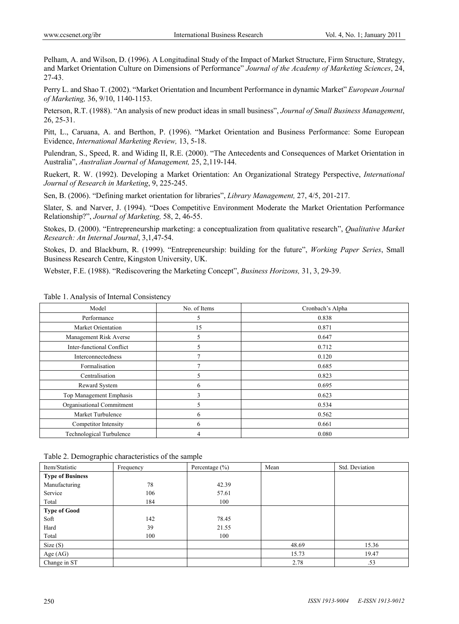Pelham, A. and Wilson, D. (1996). A Longitudinal Study of the Impact of Market Structure, Firm Structure, Strategy, and Market Orientation Culture on Dimensions of Performance" *Journal of the Academy of Marketing Sciences*, 24, 27-43.

Perry L. and Shao T. (2002). "Market Orientation and Incumbent Performance in dynamic Market" *European Journal of Marketing,* 36, 9/10, 1140-1153.

Peterson, R.T. (1988). "An analysis of new product ideas in small business", *Journal of Small Business Management*, 26, 25-31.

Pitt, L., Caruana, A. and Berthon, P. (1996). "Market Orientation and Business Performance: Some European Evidence, *International Marketing Review,* 13, 5-18.

Pulendran, S., Speed, R. and Widing II, R.E. (2000). "The Antecedents and Consequences of Market Orientation in Australia", *Australian Journal of Management,* 25, 2,119-144.

Ruekert, R. W. (1992). Developing a Market Orientation: An Organizational Strategy Perspective, *International Journal of Research in Marketing*, 9, 225-245.

Sen, B. (2006). "Defining market orientation for libraries", *Library Management,* 27, 4/5, 201-217.

Slater, S. and Narver, J. (1994). "Does Competitive Environment Moderate the Market Orientation Performance Relationship?", *Journal of Marketing,* 58, 2, 46-55.

Stokes, D. (2000). "Entrepreneurship marketing: a conceptualization from qualitative research", *Qualitative Market Research: An Internal Journal*, 3,1,47-54.

Stokes, D. and Blackburn, R. (1999). "Entrepreneurship: building for the future", *Working Paper Series*, Small Business Research Centre, Kingston University, UK.

Webster, F.E. (1988). "Rediscovering the Marketing Concept", *Business Horizons,* 31, 3, 29-39.

| Model                           | No. of Items | Cronbach's Alpha |
|---------------------------------|--------------|------------------|
| Performance                     | 5            | 0.838            |
| Market Orientation              | 15           | 0.871            |
| Management Risk Averse          | 5            | 0.647            |
| Inter-functional Conflict       |              | 0.712            |
| Interconnectedness              |              | 0.120            |
| Formalisation                   |              | 0.685            |
| Centralisation                  |              | 0.823            |
| Reward System                   | 6            | 0.695            |
| Top Management Emphasis         | 3            | 0.623            |
| Organisational Commitment       | 5            | 0.534            |
| Market Turbulence               | 6            | 0.562            |
| <b>Competitor Intensity</b>     | 6            | 0.661            |
| <b>Technological Turbulence</b> | 4            | 0.080            |

Table 1. Analysis of Internal Consistency

| ີ<br>Item/Statistic     | Frequency | Percentage $(\% )$ | Mean  | Std. Deviation |
|-------------------------|-----------|--------------------|-------|----------------|
| <b>Type of Business</b> |           |                    |       |                |
| Manufacturing           | 78        | 42.39              |       |                |
| Service                 | 106       | 57.61              |       |                |
| Total                   | 184       | 100                |       |                |
| <b>Type of Good</b>     |           |                    |       |                |
| Soft                    | 142       | 78.45              |       |                |
| Hard                    | 39        | 21.55              |       |                |
| Total                   | 100       | 100                |       |                |
| Size(S)                 |           |                    | 48.69 | 15.36          |
| Age $(AG)$              |           |                    | 15.73 | 19.47          |
| Change in ST            |           |                    | 2.78  | .53            |